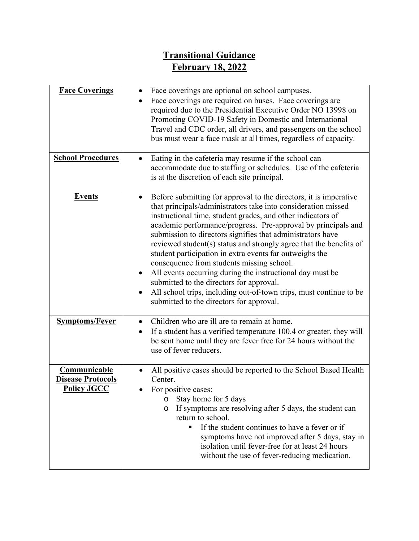## **Transitional Guidance February 18, 2022**

| <b>Face Coverings</b>                                          | Face coverings are optional on school campuses.<br>$\bullet$<br>Face coverings are required on buses. Face coverings are<br>required due to the Presidential Executive Order NO 13998 on<br>Promoting COVID-19 Safety in Domestic and International<br>Travel and CDC order, all drivers, and passengers on the school<br>bus must wear a face mask at all times, regardless of capacity.                                                                                                                                                                                                                                                                                                                                                                   |
|----------------------------------------------------------------|-------------------------------------------------------------------------------------------------------------------------------------------------------------------------------------------------------------------------------------------------------------------------------------------------------------------------------------------------------------------------------------------------------------------------------------------------------------------------------------------------------------------------------------------------------------------------------------------------------------------------------------------------------------------------------------------------------------------------------------------------------------|
| <b>School Procedures</b>                                       | Eating in the cafeteria may resume if the school can<br>accommodate due to staffing or schedules. Use of the cafeteria<br>is at the discretion of each site principal.                                                                                                                                                                                                                                                                                                                                                                                                                                                                                                                                                                                      |
| <b>Events</b>                                                  | Before submitting for approval to the directors, it is imperative<br>٠<br>that principals/administrators take into consideration missed<br>instructional time, student grades, and other indicators of<br>academic performance/progress. Pre-approval by principals and<br>submission to directors signifies that administrators have<br>reviewed student(s) status and strongly agree that the benefits of<br>student participation in extra events far outweighs the<br>consequence from students missing school.<br>All events occurring during the instructional day must be<br>submitted to the directors for approval.<br>All school trips, including out-of-town trips, must continue to be<br>$\bullet$<br>submitted to the directors for approval. |
| <b>Symptoms/Fever</b>                                          | Children who are ill are to remain at home.<br>$\bullet$<br>If a student has a verified temperature 100.4 or greater, they will<br>$\bullet$<br>be sent home until they are fever free for 24 hours without the<br>use of fever reducers.                                                                                                                                                                                                                                                                                                                                                                                                                                                                                                                   |
| Communicable<br><b>Disease Protocols</b><br><b>Policy JGCC</b> | All positive cases should be reported to the School Based Health<br>Center.<br>For positive cases:<br>Stay home for 5 days<br>$\circ$<br>If symptoms are resolving after 5 days, the student can<br>$\circ$<br>return to school.<br>If the student continues to have a fever or if<br>symptoms have not improved after 5 days, stay in<br>isolation until fever-free for at least 24 hours<br>without the use of fever-reducing medication.                                                                                                                                                                                                                                                                                                                 |